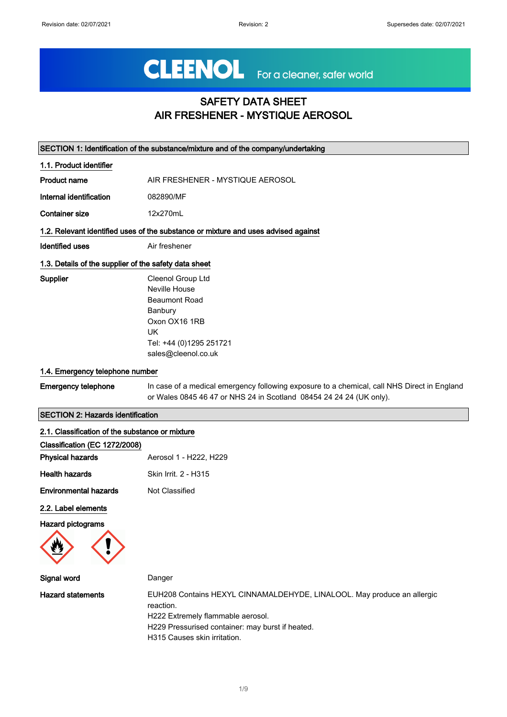# CLEENOL For a cleaner, safer world

## SAFETY DATA SHEET AIR FRESHENER - MYSTIQUE AEROSOL

| SECTION 1: Identification of the substance/mixture and of the company/undertaking |                                                                                                                                                                    |  |
|-----------------------------------------------------------------------------------|--------------------------------------------------------------------------------------------------------------------------------------------------------------------|--|
| 1.1. Product identifier                                                           |                                                                                                                                                                    |  |
| <b>Product name</b>                                                               | AIR FRESHENER - MYSTIQUE AEROSOL                                                                                                                                   |  |
| Internal identification                                                           | 082890/MF                                                                                                                                                          |  |
| <b>Container size</b>                                                             | 12x270mL                                                                                                                                                           |  |
|                                                                                   | 1.2. Relevant identified uses of the substance or mixture and uses advised against                                                                                 |  |
| Identified uses                                                                   | Air freshener                                                                                                                                                      |  |
| 1.3. Details of the supplier of the safety data sheet                             |                                                                                                                                                                    |  |
| Supplier                                                                          | Cleenol Group Ltd                                                                                                                                                  |  |
|                                                                                   | Neville House                                                                                                                                                      |  |
|                                                                                   | <b>Beaumont Road</b>                                                                                                                                               |  |
|                                                                                   | Banbury                                                                                                                                                            |  |
|                                                                                   | Oxon OX16 1RB                                                                                                                                                      |  |
|                                                                                   | UK                                                                                                                                                                 |  |
|                                                                                   | Tel: +44 (0)1295 251721                                                                                                                                            |  |
|                                                                                   | sales@cleenol.co.uk                                                                                                                                                |  |
| 1.4. Emergency telephone number                                                   |                                                                                                                                                                    |  |
| <b>Emergency telephone</b>                                                        | In case of a medical emergency following exposure to a chemical, call NHS Direct in England<br>or Wales 0845 46 47 or NHS 24 in Scotland 08454 24 24 24 (UK only). |  |

#### SECTION 2: Hazards identification

| 2.1. Classification of the substance or mixture |                        |
|-------------------------------------------------|------------------------|
| Classification (EC 1272/2008)                   |                        |
| <b>Physical hazards</b>                         | Aerosol 1 - H222, H229 |
| <b>Health hazards</b>                           | Skin Irrit. 2 - H315   |
| <b>Environmental hazards</b>                    | Not Classified         |
| 00 Lehel elemente                               |                        |

2.2. Label elements

Hazard pictograms



| Signal word              | Danger                                                                                                                                                                                                        |
|--------------------------|---------------------------------------------------------------------------------------------------------------------------------------------------------------------------------------------------------------|
| <b>Hazard statements</b> | EUH208 Contains HEXYL CINNAMALDEHYDE, LINALOOL. May produce an allergic<br>reaction.<br>H222 Extremely flammable aerosol.<br>H229 Pressurised container: may burst if heated.<br>H315 Causes skin irritation. |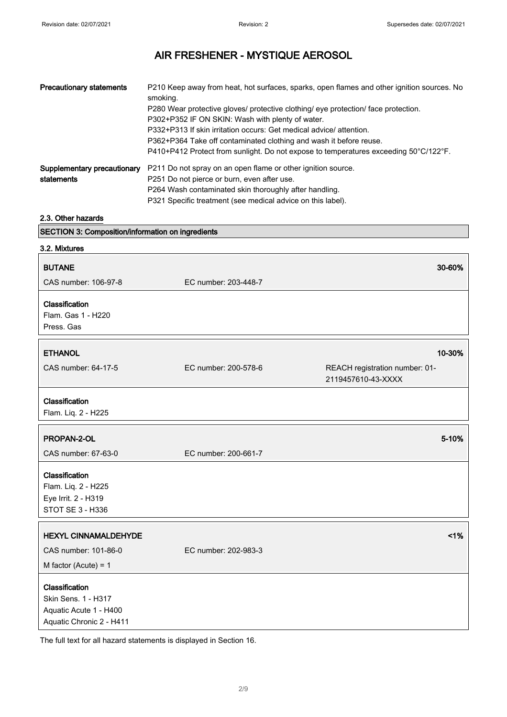| <b>Precautionary statements</b> | P210 Keep away from heat, hot surfaces, sparks, open flames and other ignition sources. No<br>smoking. |
|---------------------------------|--------------------------------------------------------------------------------------------------------|
|                                 | P280 Wear protective gloves/ protective clothing/ eye protection/ face protection.                     |
|                                 | P302+P352 IF ON SKIN: Wash with plenty of water.                                                       |
|                                 | P332+P313 If skin irritation occurs: Get medical advice/attention.                                     |
|                                 | P362+P364 Take off contaminated clothing and wash it before reuse.                                     |
|                                 | P410+P412 Protect from sunlight. Do not expose to temperatures exceeding 50°C/122°F.                   |
| Supplementary precautionary     | P211 Do not spray on an open flame or other ignition source.                                           |
| statements                      | P251 Do not pierce or burn, even after use.                                                            |
|                                 | P264 Wash contaminated skin thoroughly after handling.                                                 |
|                                 | P321 Specific treatment (see medical advice on this label).                                            |

#### 2.3. Other hazards

| SECTION 3: Composition/information on ingredients                                           |                      |                                                      |
|---------------------------------------------------------------------------------------------|----------------------|------------------------------------------------------|
| 3.2. Mixtures                                                                               |                      |                                                      |
| <b>BUTANE</b>                                                                               |                      | 30-60%                                               |
| CAS number: 106-97-8                                                                        | EC number: 203-448-7 |                                                      |
| Classification                                                                              |                      |                                                      |
| Flam. Gas 1 - H220                                                                          |                      |                                                      |
| Press, Gas                                                                                  |                      |                                                      |
| <b>ETHANOL</b>                                                                              |                      | 10-30%                                               |
| CAS number: 64-17-5                                                                         | EC number: 200-578-6 | REACH registration number: 01-<br>2119457610-43-XXXX |
| Classification<br>Flam. Liq. 2 - H225                                                       |                      |                                                      |
| PROPAN-2-OL                                                                                 |                      | 5-10%                                                |
| CAS number: 67-63-0                                                                         | EC number: 200-661-7 |                                                      |
| Classification                                                                              |                      |                                                      |
| Flam. Liq. 2 - H225                                                                         |                      |                                                      |
| Eye Irrit. 2 - H319                                                                         |                      |                                                      |
| STOT SE 3 - H336                                                                            |                      |                                                      |
| <b>HEXYL CINNAMALDEHYDE</b>                                                                 |                      | 1%                                                   |
| CAS number: 101-86-0                                                                        | EC number: 202-983-3 |                                                      |
| M factor (Acute) = $1$                                                                      |                      |                                                      |
| Classification<br>Skin Sens. 1 - H317<br>Aquatic Acute 1 - H400<br>Aquatic Chronic 2 - H411 |                      |                                                      |

The full text for all hazard statements is displayed in Section 16.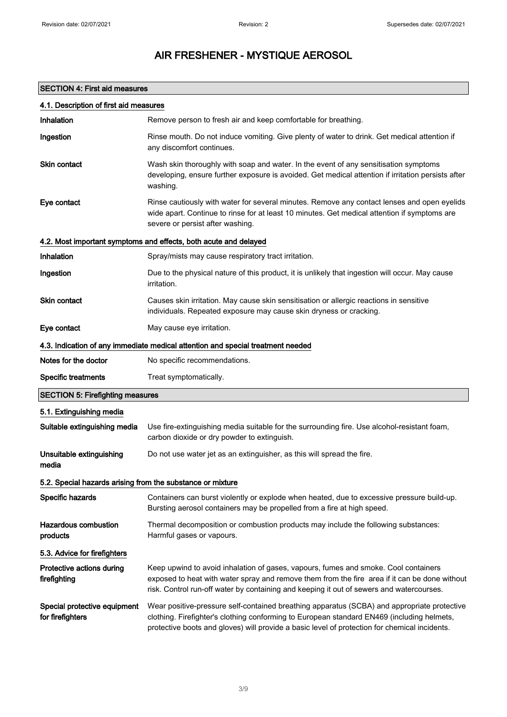## SECTION 4: First aid measures

| 4.1. Description of first aid measures                     |                                                                                                                                                                                                                                                                                            |
|------------------------------------------------------------|--------------------------------------------------------------------------------------------------------------------------------------------------------------------------------------------------------------------------------------------------------------------------------------------|
| Inhalation                                                 | Remove person to fresh air and keep comfortable for breathing.                                                                                                                                                                                                                             |
| Ingestion                                                  | Rinse mouth. Do not induce vomiting. Give plenty of water to drink. Get medical attention if<br>any discomfort continues.                                                                                                                                                                  |
| Skin contact                                               | Wash skin thoroughly with soap and water. In the event of any sensitisation symptoms<br>developing, ensure further exposure is avoided. Get medical attention if irritation persists after<br>washing.                                                                                     |
| Eye contact                                                | Rinse cautiously with water for several minutes. Remove any contact lenses and open eyelids<br>wide apart. Continue to rinse for at least 10 minutes. Get medical attention if symptoms are<br>severe or persist after washing.                                                            |
|                                                            | 4.2. Most important symptoms and effects, both acute and delayed                                                                                                                                                                                                                           |
| Inhalation                                                 | Spray/mists may cause respiratory tract irritation.                                                                                                                                                                                                                                        |
| Ingestion                                                  | Due to the physical nature of this product, it is unlikely that ingestion will occur. May cause<br><i>irritation.</i>                                                                                                                                                                      |
| Skin contact                                               | Causes skin irritation. May cause skin sensitisation or allergic reactions in sensitive<br>individuals. Repeated exposure may cause skin dryness or cracking.                                                                                                                              |
| Eye contact                                                | May cause eye irritation.                                                                                                                                                                                                                                                                  |
|                                                            | 4.3. Indication of any immediate medical attention and special treatment needed                                                                                                                                                                                                            |
| Notes for the doctor                                       | No specific recommendations.                                                                                                                                                                                                                                                               |
| <b>Specific treatments</b>                                 | Treat symptomatically.                                                                                                                                                                                                                                                                     |
| <b>SECTION 5: Firefighting measures</b>                    |                                                                                                                                                                                                                                                                                            |
| 5.1. Extinguishing media                                   |                                                                                                                                                                                                                                                                                            |
| Suitable extinguishing media                               | Use fire-extinguishing media suitable for the surrounding fire. Use alcohol-resistant foam,<br>carbon dioxide or dry powder to extinguish.                                                                                                                                                 |
| Unsuitable extinguishing<br>media                          | Do not use water jet as an extinguisher, as this will spread the fire.                                                                                                                                                                                                                     |
| 5.2. Special hazards arising from the substance or mixture |                                                                                                                                                                                                                                                                                            |
| Specific hazards                                           | Containers can burst violently or explode when heated, due to excessive pressure build-up.<br>Bursting aerosol containers may be propelled from a fire at high speed.                                                                                                                      |
| <b>Hazardous combustion</b><br>products                    | Thermal decomposition or combustion products may include the following substances:<br>Harmful gases or vapours.                                                                                                                                                                            |
| 5.3. Advice for firefighters                               |                                                                                                                                                                                                                                                                                            |
| Protective actions during<br>firefighting                  | Keep upwind to avoid inhalation of gases, vapours, fumes and smoke. Cool containers<br>exposed to heat with water spray and remove them from the fire area if it can be done without<br>risk. Control run-off water by containing and keeping it out of sewers and watercourses.           |
| Special protective equipment<br>for firefighters           | Wear positive-pressure self-contained breathing apparatus (SCBA) and appropriate protective<br>clothing. Firefighter's clothing conforming to European standard EN469 (including helmets,<br>protective boots and gloves) will provide a basic level of protection for chemical incidents. |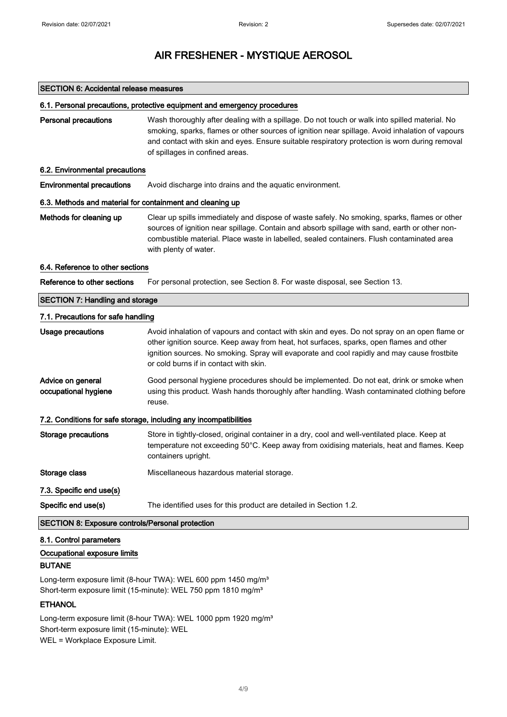#### SECTION 6: Accidental release measures

#### 6.1. Personal precautions, protective equipment and emergency procedures

Personal precautions Wash thoroughly after dealing with a spillage. Do not touch or walk into spilled material. No smoking, sparks, flames or other sources of ignition near spillage. Avoid inhalation of vapours and contact with skin and eyes. Ensure suitable respiratory protection is worn during removal of spillages in confined areas.

#### 6.2. Environmental precautions

Environmental precautions Avoid discharge into drains and the aquatic environment.

#### 6.3. Methods and material for containment and cleaning up

Methods for cleaning up Clear up spills immediately and dispose of waste safely. No smoking, sparks, flames or other sources of ignition near spillage. Contain and absorb spillage with sand, earth or other noncombustible material. Place waste in labelled, sealed containers. Flush contaminated area with plenty of water.

#### 6.4. Reference to other sections

Reference to other sections For personal protection, see Section 8. For waste disposal, see Section 13.

## SECTION 7: Handling and storage 7.1. Precautions for safe handling

| Usage precautions                                                 | Avoid inhalation of vapours and contact with skin and eyes. Do not spray on an open flame or<br>other ignition source. Keep away from heat, hot surfaces, sparks, open flames and other<br>ignition sources. No smoking. Spray will evaporate and cool rapidly and may cause frostbite<br>or cold burns if in contact with skin. |  |
|-------------------------------------------------------------------|----------------------------------------------------------------------------------------------------------------------------------------------------------------------------------------------------------------------------------------------------------------------------------------------------------------------------------|--|
| Advice on general<br>occupational hygiene                         | Good personal hygiene procedures should be implemented. Do not eat, drink or smoke when<br>using this product. Wash hands thoroughly after handling. Wash contaminated clothing before<br>reuse.                                                                                                                                 |  |
| 7.2. Conditions for safe storage, including any incompatibilities |                                                                                                                                                                                                                                                                                                                                  |  |
| Storage precautions                                               | Store in tightly-closed, original container in a dry, cool and well-ventilated place. Keep at<br>temperature not exceeding 50°C. Keep away from oxidising materials, heat and flames. Keep<br>containers upright.                                                                                                                |  |
| Storage class                                                     | Miscellaneous hazardous material storage.                                                                                                                                                                                                                                                                                        |  |
| 7.3. Specific end use(s)                                          |                                                                                                                                                                                                                                                                                                                                  |  |
| Specific end use(s)                                               | The identified uses for this product are detailed in Section 1.2.                                                                                                                                                                                                                                                                |  |

#### SECTION 8: Exposure controls/Personal protection

#### 8.1. Control parameters

#### Occupational exposure limits

#### BUTANE

Long-term exposure limit (8-hour TWA): WEL 600 ppm 1450 mg/m<sup>3</sup> Short-term exposure limit (15-minute): WEL 750 ppm 1810 mg/m<sup>3</sup>

#### **ETHANOL**

Long-term exposure limit (8-hour TWA): WEL 1000 ppm 1920 mg/m<sup>3</sup> Short-term exposure limit (15-minute): WEL WEL = Workplace Exposure Limit.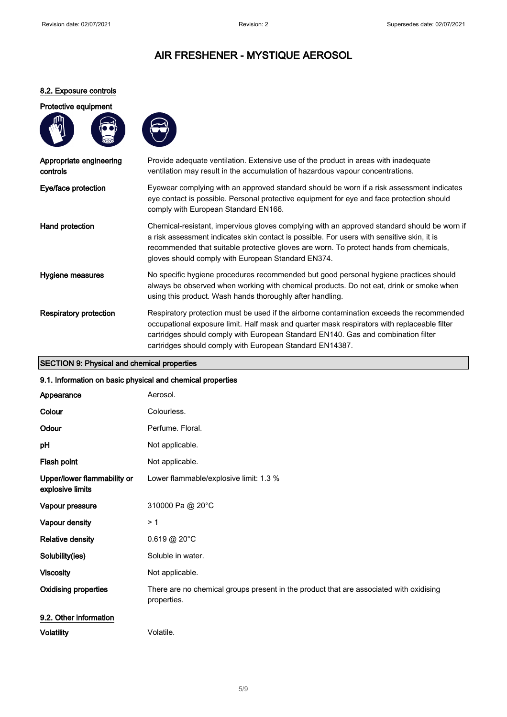### 8.2. Exposure controls

#### Protective equipment





| Appropriate engineering<br>controls | Provide adequate ventilation. Extensive use of the product in areas with inadequate<br>ventilation may result in the accumulation of hazardous vapour concentrations.                                                                                                                                                                     |
|-------------------------------------|-------------------------------------------------------------------------------------------------------------------------------------------------------------------------------------------------------------------------------------------------------------------------------------------------------------------------------------------|
| Eye/face protection                 | Eyewear complying with an approved standard should be worn if a risk assessment indicates<br>eye contact is possible. Personal protective equipment for eye and face protection should<br>comply with European Standard EN166.                                                                                                            |
| Hand protection                     | Chemical-resistant, impervious gloves complying with an approved standard should be worn if<br>a risk assessment indicates skin contact is possible. For users with sensitive skin, it is<br>recommended that suitable protective gloves are worn. To protect hands from chemicals,<br>gloves should comply with European Standard EN374. |
| Hygiene measures                    | No specific hygiene procedures recommended but good personal hygiene practices should<br>always be observed when working with chemical products. Do not eat, drink or smoke when<br>using this product. Wash hands thoroughly after handling.                                                                                             |
| <b>Respiratory protection</b>       | Respiratory protection must be used if the airborne contamination exceeds the recommended<br>occupational exposure limit. Half mask and quarter mask respirators with replaceable filter<br>cartridges should comply with European Standard EN140. Gas and combination filter<br>cartridges should comply with European Standard EN14387. |

# SECTION 9: Physical and chemical properties

| 9.1. Information on basic physical and chemical properties |  |
|------------------------------------------------------------|--|
|                                                            |  |

| Appearance                                      | Aerosol.                                                                                              |
|-------------------------------------------------|-------------------------------------------------------------------------------------------------------|
| Colour                                          | Colourless.                                                                                           |
| Odour                                           | Perfume. Floral.                                                                                      |
| pH                                              | Not applicable.                                                                                       |
| Flash point                                     | Not applicable.                                                                                       |
| Upper/lower flammability or<br>explosive limits | Lower flammable/explosive limit: 1.3 %                                                                |
| Vapour pressure                                 | 310000 Pa @ 20°C                                                                                      |
| Vapour density                                  | >1                                                                                                    |
| <b>Relative density</b>                         | 0.619@20°C                                                                                            |
| Solubility(ies)                                 | Soluble in water.                                                                                     |
| <b>Viscosity</b>                                | Not applicable.                                                                                       |
| <b>Oxidising properties</b>                     | There are no chemical groups present in the product that are associated with oxidising<br>properties. |
| 9.2. Other information                          |                                                                                                       |
| <b>Volatility</b>                               | Volatile.                                                                                             |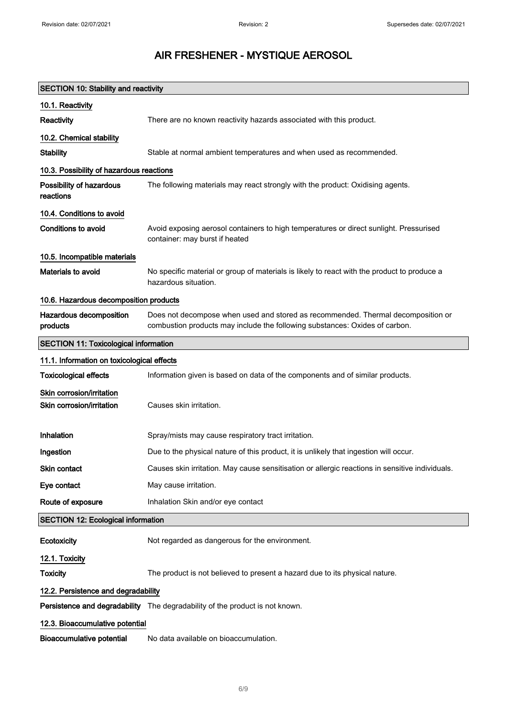| <b>SECTION 10: Stability and reactivity</b>            |                                                                                                                                                                 |
|--------------------------------------------------------|-----------------------------------------------------------------------------------------------------------------------------------------------------------------|
| 10.1. Reactivity                                       |                                                                                                                                                                 |
| Reactivity                                             | There are no known reactivity hazards associated with this product.                                                                                             |
| 10.2. Chemical stability                               |                                                                                                                                                                 |
| <b>Stability</b>                                       | Stable at normal ambient temperatures and when used as recommended.                                                                                             |
| 10.3. Possibility of hazardous reactions               |                                                                                                                                                                 |
| Possibility of hazardous<br>reactions                  | The following materials may react strongly with the product: Oxidising agents.                                                                                  |
| 10.4. Conditions to avoid                              |                                                                                                                                                                 |
| <b>Conditions to avoid</b>                             | Avoid exposing aerosol containers to high temperatures or direct sunlight. Pressurised<br>container: may burst if heated                                        |
| 10.5. Incompatible materials                           |                                                                                                                                                                 |
| Materials to avoid                                     | No specific material or group of materials is likely to react with the product to produce a<br>hazardous situation.                                             |
| 10.6. Hazardous decomposition products                 |                                                                                                                                                                 |
| Hazardous decomposition<br>products                    | Does not decompose when used and stored as recommended. Thermal decomposition or<br>combustion products may include the following substances: Oxides of carbon. |
| <b>SECTION 11: Toxicological information</b>           |                                                                                                                                                                 |
| 11.1. Information on toxicological effects             |                                                                                                                                                                 |
| <b>Toxicological effects</b>                           | Information given is based on data of the components and of similar products.                                                                                   |
| Skin corrosion/irritation<br>Skin corrosion/irritation | Causes skin irritation.                                                                                                                                         |
| Inhalation                                             | Spray/mists may cause respiratory tract irritation.                                                                                                             |
| Ingestion                                              | Due to the physical nature of this product, it is unlikely that ingestion will occur.                                                                           |
| Skin contact                                           | Causes skin irritation. May cause sensitisation or allergic reactions in sensitive individuals.                                                                 |
| Eye contact                                            | May cause irritation.                                                                                                                                           |
| Route of exposure                                      | Inhalation Skin and/or eye contact                                                                                                                              |
| <b>SECTION 12: Ecological information</b>              |                                                                                                                                                                 |
| Ecotoxicity                                            | Not regarded as dangerous for the environment.                                                                                                                  |
| 12.1. Toxicity                                         |                                                                                                                                                                 |
| <b>Toxicity</b>                                        | The product is not believed to present a hazard due to its physical nature.                                                                                     |
| 12.2. Persistence and degradability                    |                                                                                                                                                                 |
|                                                        | Persistence and degradability The degradability of the product is not known.                                                                                    |
| 12.3. Bioaccumulative potential                        |                                                                                                                                                                 |
| <b>Bioaccumulative potential</b>                       | No data available on bioaccumulation.                                                                                                                           |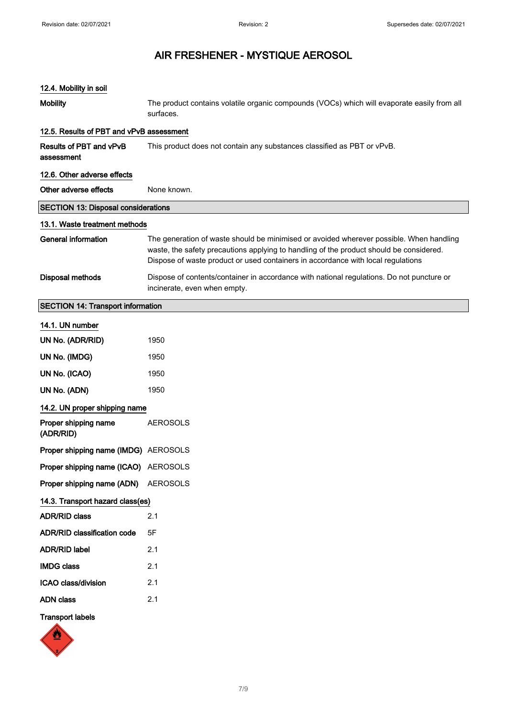| 12.4. Mobility in soil                     |                                                                                                                                                                                                                                                                        |
|--------------------------------------------|------------------------------------------------------------------------------------------------------------------------------------------------------------------------------------------------------------------------------------------------------------------------|
| <b>Mobility</b>                            | The product contains volatile organic compounds (VOCs) which will evaporate easily from all<br>surfaces.                                                                                                                                                               |
| 12.5. Results of PBT and vPvB assessment   |                                                                                                                                                                                                                                                                        |
| Results of PBT and vPvB<br>assessment      | This product does not contain any substances classified as PBT or vPvB.                                                                                                                                                                                                |
| 12.6. Other adverse effects                |                                                                                                                                                                                                                                                                        |
| Other adverse effects                      | None known.                                                                                                                                                                                                                                                            |
| <b>SECTION 13: Disposal considerations</b> |                                                                                                                                                                                                                                                                        |
| 13.1. Waste treatment methods              |                                                                                                                                                                                                                                                                        |
| <b>General information</b>                 | The generation of waste should be minimised or avoided wherever possible. When handling<br>waste, the safety precautions applying to handling of the product should be considered.<br>Dispose of waste product or used containers in accordance with local regulations |
| <b>Disposal methods</b>                    | Dispose of contents/container in accordance with national regulations. Do not puncture or<br>incinerate, even when empty.                                                                                                                                              |
| <b>SECTION 14: Transport information</b>   |                                                                                                                                                                                                                                                                        |
| 14.1. UN number                            |                                                                                                                                                                                                                                                                        |
| UN No. (ADR/RID)                           | 1950                                                                                                                                                                                                                                                                   |
| UN No. (IMDG)                              | 1950                                                                                                                                                                                                                                                                   |
| UN No. (ICAO)                              | 1950                                                                                                                                                                                                                                                                   |
| UN No. (ADN)                               | 1950                                                                                                                                                                                                                                                                   |
| 14.2. UN proper shipping name              |                                                                                                                                                                                                                                                                        |
| Proper shipping name<br>(ADR/RID)          | <b>AEROSOLS</b>                                                                                                                                                                                                                                                        |
| Proper shipping name (IMDG) AEROSOLS       |                                                                                                                                                                                                                                                                        |
| Proper shipping name (ICAO) AEROSOLS       |                                                                                                                                                                                                                                                                        |
| Proper shipping name (ADN)                 | <b>AEROSOLS</b>                                                                                                                                                                                                                                                        |
| 14.3. Transport hazard class(es)           |                                                                                                                                                                                                                                                                        |
| <b>ADR/RID class</b>                       | 2.1                                                                                                                                                                                                                                                                    |
| <b>ADR/RID classification code</b>         | 5F                                                                                                                                                                                                                                                                     |
| <b>ADR/RID label</b>                       | 2.1                                                                                                                                                                                                                                                                    |
| <b>IMDG class</b>                          | 2.1                                                                                                                                                                                                                                                                    |
| ICAO class/division                        | 2.1                                                                                                                                                                                                                                                                    |
| <b>ADN class</b>                           | 2.1                                                                                                                                                                                                                                                                    |
| <b>Transport labels</b><br><b>SAL</b>      |                                                                                                                                                                                                                                                                        |

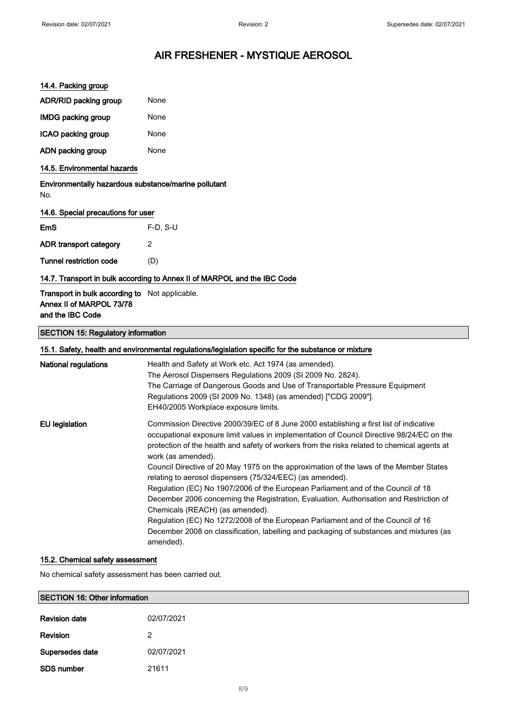#### 14.4. Packing group

| <b>ADR/RID packing group</b> | None |
|------------------------------|------|
| <b>IMDG packing group</b>    | None |
| ICAO packing group           | None |

ADN packing group None

#### 14.5. Environmental hazards

Environmentally hazardous substance/marine pollutant No.

#### 14.6. Special precautions for user

| <b>EmS</b>              | $F-D. S-U$ |
|-------------------------|------------|
| ADR transport category  | 2          |
| Tunnel restriction code | (D)        |

#### 14.7. Transport in bulk according to Annex II of MARPOL and the IBC Code

#### Transport in bulk according to Not applicable. Annex II of MARPOL 73/78 and the IBC Code

#### SECTION 15: Regulatory information

| 15.1. Safety, health and environmental regulations/legislation specific for the substance or mixture |                                                                                                                                                                                                                                                                                                                                                                                                                                                                                                                                                                                                                                                                                                                                                                                                                                                                               |  |  |  |
|------------------------------------------------------------------------------------------------------|-------------------------------------------------------------------------------------------------------------------------------------------------------------------------------------------------------------------------------------------------------------------------------------------------------------------------------------------------------------------------------------------------------------------------------------------------------------------------------------------------------------------------------------------------------------------------------------------------------------------------------------------------------------------------------------------------------------------------------------------------------------------------------------------------------------------------------------------------------------------------------|--|--|--|
| National regulations                                                                                 | Health and Safety at Work etc. Act 1974 (as amended).<br>The Aerosol Dispensers Regulations 2009 (SI 2009 No. 2824).<br>The Carriage of Dangerous Goods and Use of Transportable Pressure Equipment<br>Regulations 2009 (SI 2009 No. 1348) (as amended) ["CDG 2009"].<br>EH40/2005 Workplace exposure limits.                                                                                                                                                                                                                                                                                                                                                                                                                                                                                                                                                                 |  |  |  |
| <b>EU</b> legislation                                                                                | Commission Directive 2000/39/EC of 8 June 2000 establishing a first list of indicative<br>occupational exposure limit values in implementation of Council Directive 98/24/EC on the<br>protection of the health and safety of workers from the risks related to chemical agents at<br>work (as amended).<br>Council Directive of 20 May 1975 on the approximation of the laws of the Member States<br>relating to aerosol dispensers (75/324/EEC) (as amended).<br>Regulation (EC) No 1907/2006 of the European Parliament and of the Council of 18<br>December 2006 concerning the Registration, Evaluation, Authorisation and Restriction of<br>Chemicals (REACH) (as amended).<br>Regulation (EC) No 1272/2008 of the European Parliament and of the Council of 16<br>December 2008 on classification, labelling and packaging of substances and mixtures (as<br>amended). |  |  |  |

#### 15.2. Chemical safety assessment

SDS number 21611

No chemical safety assessment has been carried out.

| <b>SECTION 16: Other information</b> |            |  |  |
|--------------------------------------|------------|--|--|
| <b>Revision date</b>                 | 02/07/2021 |  |  |
| Revision                             |            |  |  |
| Supersedes date                      | 02/07/2021 |  |  |